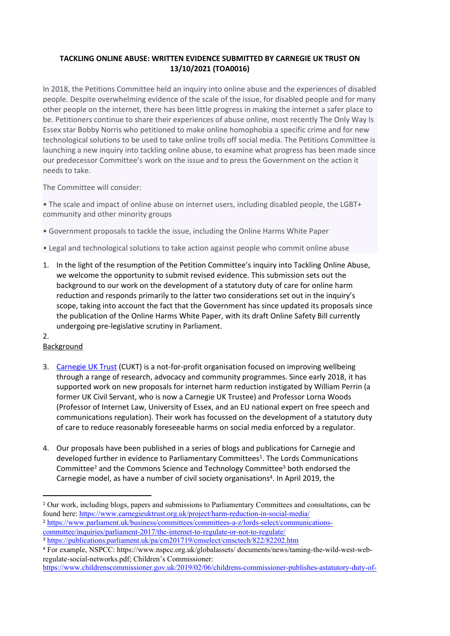## **TACKLING ONLINE ABUSE: WRITTEN EVIDENCE SUBMITTED BY CARNEGIE UK TRUST ON 13/10/2021 (TOA0016)**

In 2018, the Petitions Committee held an inquiry into online abuse and the experiences of disabled people. Despite overwhelming evidence of the scale of the issue, for disabled people and for many other people on the internet, there has been little progress in making the internet a safer place to be. Petitioners continue to share their experiences of abuse online, most recently The Only Way Is Essex star Bobby Norris who petitioned to make online homophobia a specific crime and for new technological solutions to be used to take online trolls off social media. The Petitions Committee is launching a new inquiry into tackling online abuse, to examine what progress has been made since our predecessor Committee's work on the issue and to press the Government on the action it needs to take.

The Committee will consider:

• The scale and impact of online abuse on internet users, including disabled people, the LGBT+ community and other minority groups

- Government proposals to tackle the issue, including the Online Harms White Paper
- Legal and technological solutions to take action against people who commit online abuse
- 1. In the light of the resumption of the Petition Committee's inquiry into Tackling Online Abuse, we welcome the opportunity to submit revised evidence. This submission sets out the background to our work on the development of a statutory duty of care for online harm reduction and responds primarily to the latter two considerations set out in the inquiry's scope, taking into account the fact that the Government has since updated its proposals since the publication of the Online Harms White Paper, with its draft Online Safety Bill currently undergoing pre-legislative scrutiny in Parliament.
- 2.

## Background

- 3. [Carnegie](https://www.carnegieuktrust.org.uk/) [UK](https://www.carnegieuktrust.org.uk/) [Trust](https://www.carnegieuktrust.org.uk/) (CUKT) is a not-for-profit organisation focused on improving wellbeing through a range of research, advocacy and community programmes. Since early 2018, it has supported work on new proposals for internet harm reduction instigated by William Perrin (a former UK Civil Servant, who is now a Carnegie UK Trustee) and Professor Lorna Woods (Professor of Internet Law, University of Essex, and an EU national expert on free speech and communications regulation). Their work has focussed on the development of a statutory duty of care to reduce reasonably foreseeable harms on social media enforced by a regulator.
- 4. Our proposals have been published in a series of blogs and publications for Carnegie and developed further in evidence to Parliamentary Committees<sup>1</sup>. The Lords Communications Committee<sup>2</sup> and the Commons Science and Technology Committee<sup>3</sup> both endorsed the Carnegie model, as have a number of civil society organisations<sup>4</sup>. In April 2019, the

<sup>1</sup> Our work, including blogs, papers and submissions to Parliamentary Committees and consultations, can be found here: <https://www.carnegieuktrust.org.uk/project/harm-reduction-in-social-media/>

<sup>2</sup> [https://www.parliament.uk/business/committees/committees-a-z/lords-select/communications](https://www.parliament.uk/business/committees/committees-a-z/lords-select/communications-committee/inquiries/parliament-2017/the-internet-to-regulate-or-not-to-regulate/)[committee/inquiries/parliament-2017/the-internet-to-regulate-or-not-to-regulate/](https://www.parliament.uk/business/committees/committees-a-z/lords-select/communications-committee/inquiries/parliament-2017/the-internet-to-regulate-or-not-to-regulate/)

<sup>3</sup> <https://publications.parliament.uk/pa/cm201719/cmselect/cmsctech/822/82202.htm>

<sup>4</sup> For example, NSPCC: https://www.nspcc.org.uk/globalassets/ documents/news/taming-the-wild-west-webregulate-social-networks.pdf; Children's Commissioner:

[https://www.childrenscommissioner.gov.uk/2019/02/06/childrens-commissioner-publishes-astatutory-duty-of-](https://www.childrenscommissioner.gov.uk/2019/02/06/childrens-commissioner-publishes-astatutory-duty-of-care-for-online-service-providers/)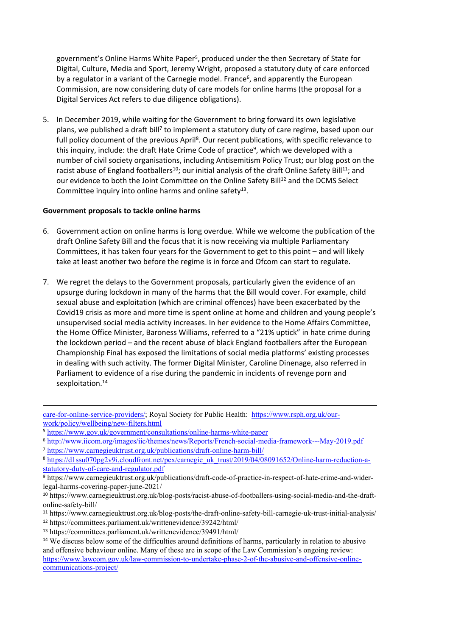government's Online Harms White Paper<sup>5</sup>, produced under the then Secretary of State for Digital, Culture, Media and Sport, Jeremy Wright, proposed a statutory duty of care enforced by a regulator in a variant of the Carnegie model. France<sup>6</sup>, and apparently the European Commission, are now considering duty of care models for online harms (the proposal for a Digital Services Act refers to due diligence obligations).

5. In December 2019, while waiting for the Government to bring forward its own legislative plans, we published a draft bill<sup>7</sup> to implement a statutory duty of care regime, based upon our full policy document of the previous April<sup>8</sup>. Our recent publications, with specific relevance to this inquiry, include: the draft Hate Crime Code of practice<sup>9</sup>, which we developed with a number of civil society organisations, including Antisemitism Policy Trust; our blog post on the racist abuse of England footballers<sup>10</sup>; our initial analysis of the draft Online Safety Bill<sup>11</sup>; and our evidence to both the Joint Committee on the Online Safety Bill<sup>12</sup> and the DCMS Select Committee inquiry into online harms and online safety<sup>13</sup>.

## **Government proposals to tackle online harms**

- 6. Government action on online harms is long overdue. While we welcome the publication of the draft Online Safety Bill and the focus that it is now receiving via multiple Parliamentary Committees, it has taken four years for the Government to get to this point – and will likely take at least another two before the regime is in force and Ofcom can start to regulate.
- 7. We regret the delays to the Government proposals, particularly given the evidence of an upsurge during lockdown in many of the harms that the Bill would cover. For example, child sexual abuse and exploitation (which are criminal offences) have been exacerbated by the Covid19 crisis as more and more time is spent online at home and children and young people's unsupervised social media activity increases. In her evidence to the Home Affairs Committee, the Home Office Minister, Baroness Williams, referred to a "21% uptick" in hate crime during the lockdown period – and the recent abuse of black England footballers after the European Championship Final has exposed the limitations of social media platforms' existing processes in dealing with such activity. The former Digital Minister, Caroline Dinenage, also referred in Parliament to evidence of a rise during the pandemic in incidents of revenge porn and sexploitation.<sup>14</sup>

[care-for-online-service-providers/](https://www.childrenscommissioner.gov.uk/2019/02/06/childrens-commissioner-publishes-astatutory-duty-of-care-for-online-service-providers/); Royal Society for Public Health: [https://www.rsph.org.uk/our](https://www.rsph.org.uk/our-work/policy/wellbeing/new-filters.html)[work/policy/wellbeing/new-filters.html](https://www.rsph.org.uk/our-work/policy/wellbeing/new-filters.html)

<sup>5</sup> <https://www.gov.uk/government/consultations/online-harms-white-paper>

<sup>6</sup> <http://www.iicom.org/images/iic/themes/news/Reports/French-social-media-framework---May-2019.pdf>

<sup>7</sup> <https://www.carnegieuktrust.org.uk/publications/draft-online-harm-bill/>

<sup>8</sup> [https://d1ssu070pg2v9i.cloudfront.net/pex/carnegie\\_uk\\_trust/2019/04/08091652/Online-harm-reduction-a](https://d1ssu070pg2v9i.cloudfront.net/pex/carnegie_uk_trust/2019/04/08091652/Online-harm-reduction-a-statutory-duty-of-care-and-regulator.pdf)[statutory-duty-of-care-and-regulator.pdf](https://d1ssu070pg2v9i.cloudfront.net/pex/carnegie_uk_trust/2019/04/08091652/Online-harm-reduction-a-statutory-duty-of-care-and-regulator.pdf)

<sup>9</sup> https://www.carnegieuktrust.org.uk/publications/draft-code-of-practice-in-respect-of-hate-crime-and-widerlegal-harms-covering-paper-june-2021/

<sup>10</sup> https://www.carnegieuktrust.org.uk/blog-posts/racist-abuse-of-footballers-using-social-media-and-the-draftonline-safety-bill/

<sup>11</sup> https://www.carnegieuktrust.org.uk/blog-posts/the-draft-online-safety-bill-carnegie-uk-trust-initial-analysis/

<sup>12</sup> https://committees.parliament.uk/writtenevidence/39242/html/

<sup>13</sup> https://committees.parliament.uk/writtenevidence/39491/html/

<sup>&</sup>lt;sup>14</sup> We discuss below some of the difficulties around definitions of harms, particularly in relation to abusive and offensive behaviour online. Many of these are in scope of the Law Commission's ongoing review: [https://www.lawcom.gov.uk/law-commission-to-undertake-phase-2-of-the-abusive-and-offensive-online](https://www.lawcom.gov.uk/law-commission-to-undertake-phase-2-of-the-abusive-and-offensive-online-communications-project/)[communications-project/](https://www.lawcom.gov.uk/law-commission-to-undertake-phase-2-of-the-abusive-and-offensive-online-communications-project/)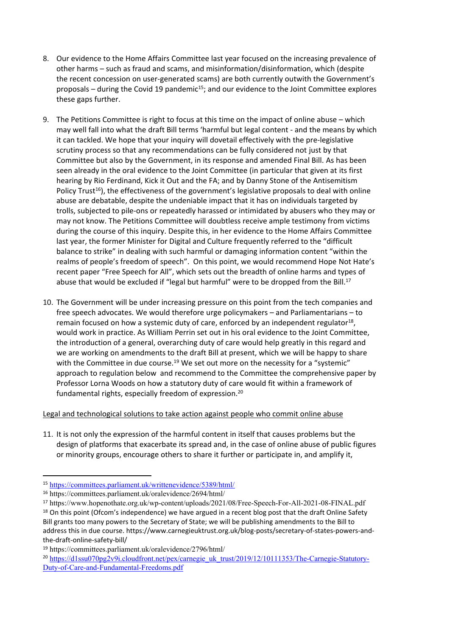- 8. Our evidence to the Home Affairs Committee last year focused on the increasing prevalence of other harms – such as fraud and scams, and misinformation/disinformation, which (despite the recent concession on user-generated scams) are both currently outwith the Government's proposals – during the Covid 19 pandemic<sup>15</sup>; and our evidence to the Joint Committee explores these gaps further.
- 9. The Petitions Committee is right to focus at this time on the impact of online abuse which may well fall into what the draft Bill terms 'harmful but legal content - and the means by which it can tackled. We hope that your inquiry will dovetail effectively with the pre-legislative scrutiny process so that any recommendations can be fully considered not just by that Committee but also by the Government, in its response and amended Final Bill. As has been seen already in the oral evidence to the Joint Committee (in particular that given at its first hearing by Rio Ferdinand, Kick it Out and the FA; and by Danny Stone of the Antisemitism Policy Trust<sup>16</sup>), the effectiveness of the government's legislative proposals to deal with online abuse are debatable, despite the undeniable impact that it has on individuals targeted by trolls, subjected to pile-ons or repeatedly harassed or intimidated by abusers who they may or may not know. The Petitions Committee will doubtless receive ample testimony from victims during the course of this inquiry. Despite this, in her evidence to the Home Affairs Committee last year, the former Minister for Digital and Culture frequently referred to the "difficult balance to strike" in dealing with such harmful or damaging information content "within the realms of people's freedom of speech". On this point, we would recommend Hope Not Hate's recent paper "Free Speech for All", which sets out the breadth of online harms and types of abuse that would be excluded if "legal but harmful" were to be dropped from the Bill.<sup>17</sup>
- 10. The Government will be under increasing pressure on this point from the tech companies and free speech advocates. We would therefore urge policymakers – and Parliamentarians – to remain focused on how a systemic duty of care, enforced by an independent regulator<sup>18</sup>, would work in practice. As William Perrin set out in his oral evidence to the Joint Committee, the introduction of a general, overarching duty of care would help greatly in this regard and we are working on amendments to the draft Bill at present, which we will be happy to share with the Committee in due course.<sup>19</sup> We set out more on the necessity for a "systemic" approach to regulation below and recommend to the Committee the comprehensive paper by Professor Lorna Woods on how a statutory duty of care would fit within a framework of fundamental rights, especially freedom of expression.<sup>20</sup>

## Legal and technological solutions to take action against people who commit online abuse

11. It is not only the expression of the harmful content in itself that causes problems but the design of platforms that exacerbate its spread and, in the case of online abuse of public figures or minority groups, encourage others to share it further or participate in, and amplify it,

<sup>15</sup> <https://committees.parliament.uk/writtenevidence/5389/html/>

<sup>16</sup> https://committees.parliament.uk/oralevidence/2694/html/

<sup>17</sup> https://www.hopenothate.org.uk/wp-content/uploads/2021/08/Free-Speech-For-All-2021-08-FINAL.pdf

<sup>&</sup>lt;sup>18</sup> On this point (Ofcom's independence) we have argued in a recent blog post that the draft Online Safety Bill grants too many powers to the Secretary of State; we will be publishing amendments to the Bill to address this in due course. https://www.carnegieuktrust.org.uk/blog-posts/secretary-of-states-powers-andthe-draft-online-safety-bill/

<sup>19</sup> https://committees.parliament.uk/oralevidence/2796/html/

<sup>&</sup>lt;sup>20</sup> [https://d1ssu070pg2v9i.cloudfront.net/pex/carnegie\\_uk\\_trust/2019/12/10111353/The-Carnegie-Statutory-](https://d1ssu070pg2v9i.cloudfront.net/pex/carnegie_uk_trust/2019/12/10111353/The-Carnegie-Statutory-Duty-of-Care-and-Fundamental-Freedoms.pdf)[Duty-of-Care-and-Fundamental-Freedoms.pdf](https://d1ssu070pg2v9i.cloudfront.net/pex/carnegie_uk_trust/2019/12/10111353/The-Carnegie-Statutory-Duty-of-Care-and-Fundamental-Freedoms.pdf)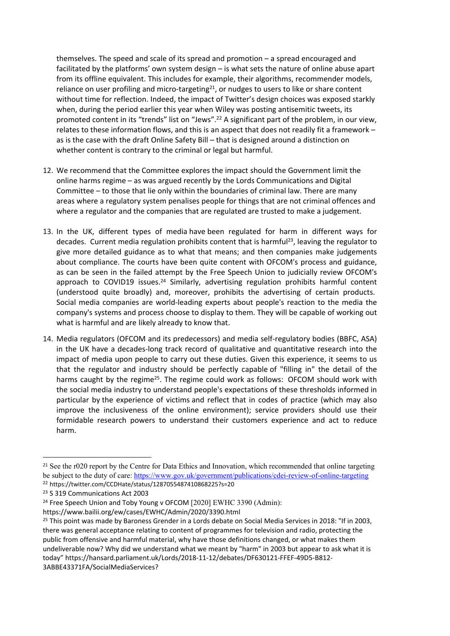themselves. The speed and scale of its spread and promotion – a spread encouraged and facilitated by the platforms' own system design – is what sets the nature of online abuse apart from its offline equivalent. This includes for example, their algorithms, recommender models, reliance on user profiling and micro-targeting<sup>21</sup>, or nudges to users to like or share content without time for reflection. Indeed, the impact of Twitter's design choices was exposed starkly when, during the period earlier this year when Wiley was posting antisemitic tweets, its promoted content in its "trends" list on "Jews".<sup>22</sup> A significant part of the problem, in our view, relates to these information flows, and this is an aspect that does not readily fit a framework – as is the case with the draft Online Safety Bill – that is designed around a distinction on whether content is contrary to the criminal or legal but harmful.

- 12. We recommend that the Committee explores the impact should the Government limit the online harms regime – as was argued recently by the Lords Communications and Digital Committee – to those that lie only within the boundaries of criminal law. There are many areas where a regulatory system penalises people for things that are not criminal offences and where a regulator and the companies that are regulated are trusted to make a judgement.
- 13. In the UK, different types of media have been regulated for harm in different ways for decades. Current media regulation prohibits content that is harmful<sup>23</sup>, leaving the regulator to give more detailed guidance as to what that means; and then companies make judgements about compliance. The courts have been quite content with OFCOM's process and guidance, as can be seen in the failed attempt by the Free Speech Union to judicially review OFCOM's approach to COVID19 issues.<sup>24</sup> Similarly, advertising regulation prohibits harmful content (understood quite broadly) and, moreover, prohibits the advertising of certain products. Social media companies are world-leading experts about people's reaction to the media the company's systems and process choose to display to them. They will be capable of working out what is harmful and are likely already to know that.
- 14. Media regulators (OFCOM and its predecessors) and media self-regulatory bodies (BBFC, ASA) in the UK have a decades-long track record of qualitative and quantitative research into the impact of media upon people to carry out these duties. Given this experience, it seems to us that the regulator and industry should be perfectly capable of "filling in" the detail of the harms caught by the regime<sup>25</sup>. The regime could work as follows: OFCOM should work with the social media industry to understand people's expectations of these thresholds informed in particular by the experience of victims and reflect that in codes of practice (which may also improve the inclusiveness of the online environment); service providers should use their formidable research powers to understand their customers experience and act to reduce harm.

https://www.bailii.org/ew/cases/EWHC/Admin/2020/3390.html

<sup>&</sup>lt;sup>21</sup> See the r020 report by the Centre for Data Ethics and Innovation, which recommended that online targeting be subject to the duty of care: <https://www.gov.uk/government/publications/cdei-review-of-online-targeting> <sup>22</sup> https://twitter.com/CCDHate/status/1287055487410868225?s=20

<sup>23</sup> S 319 Communications Act 2003

<sup>&</sup>lt;sup>24</sup> Free Speech Union and Toby Young v OFCOM [2020] EWHC 3390 (Admin):

<sup>&</sup>lt;sup>25</sup> This point was made by Baroness Grender in a Lords debate on Social Media Services in 2018: "If in 2003, there was general acceptance relating to content of programmes for television and radio, protecting the public from offensive and harmful material, why have those definitions changed, or what makes them undeliverable now? Why did we understand what we meant by "harm" in 2003 but appear to ask what it is today" https://hansard.parliament.uk/Lords/2018-11-12/debates/DF630121-FFEF-49D5-B812- 3ABBE43371FA/SocialMediaServices?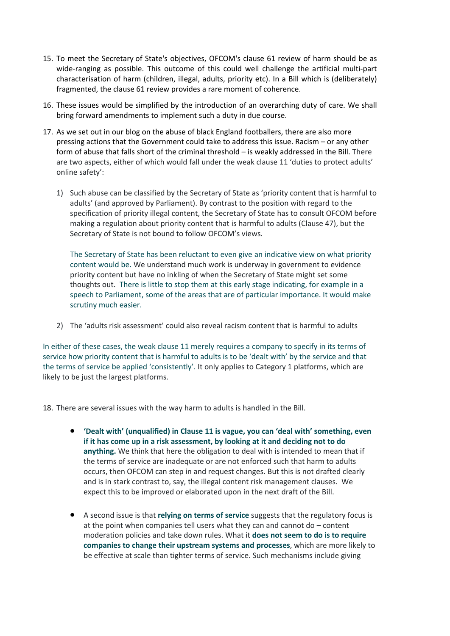- 15. To meet the Secretary of State's objectives, OFCOM's clause 61 review of harm should be as wide-ranging as possible. This outcome of this could well challenge the artificial multi-part characterisation of harm (children, illegal, adults, priority etc). In a Bill which is (deliberately) fragmented, the clause 61 review provides a rare moment of coherence.
- 16. These issues would be simplified by the introduction of an overarching duty of care. We shall bring forward amendments to implement such a duty in due course.
- 17. As we set out in our blog on the abuse of black England footballers, there are also more pressing actions that the Government could take to address this issue. Racism – or any other form of abuse that falls short of the criminal threshold – is weakly addressed in the Bill. There are two aspects, either of which would fall under the weak clause 11 'duties to protect adults' online safety':
	- 1) Such abuse can be classified by the Secretary of State as 'priority content that is harmful to adults' (and approved by Parliament). By contrast to the position with regard to the specification of priority illegal content, the Secretary of State has to consult OFCOM before making a regulation about priority content that is harmful to adults (Clause 47), but the Secretary of State is not bound to follow OFCOM's views.

The Secretary of State has been reluctant to even give an indicative view on what priority content would be. We understand much work is underway in government to evidence priority content but have no inkling of when the Secretary of State might set some thoughts out. There is little to stop them at this early stage indicating, for example in a speech to Parliament, some of the areas that are of particular importance. It would make scrutiny much easier.

2) The 'adults risk assessment' could also reveal racism content that is harmful to adults

In either of these cases, the weak clause 11 merely requires a company to specify in its terms of service how priority content that is harmful to adults is to be 'dealt with' by the service and that the terms of service be applied 'consistently'. It only applies to Category 1 platforms, which are likely to be just the largest platforms.

18. There are several issues with the way harm to adults is handled in the Bill.

- **'Dealt with' (unqualified) in Clause 11 is vague, you can 'deal with' something, even if it has come up in a risk assessment, by looking at it and deciding not to do anything.** We think that here the obligation to deal with is intended to mean that if the terms of service are inadequate or are not enforced such that harm to adults occurs, then OFCOM can step in and request changes. But this is not drafted clearly and is in stark contrast to, say, the illegal content risk management clauses. We expect this to be improved or elaborated upon in the next draft of the Bill.
- A second issue is that **relying on terms of service** suggests that the regulatory focus is at the point when companies tell users what they can and cannot do – content moderation policies and take down rules. What it **does not seem to do is to require companies to change their upstream systems and processes**, which are more likely to be effective at scale than tighter terms of service. Such mechanisms include giving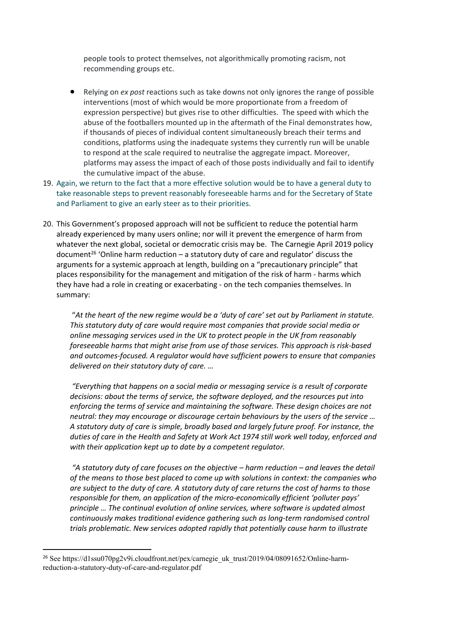people tools to protect themselves, not algorithmically promoting racism, not recommending groups etc.

- Relying on *ex post* reactions such as take downs not only ignores the range of possible interventions (most of which would be more proportionate from a freedom of expression perspective) but gives rise to other difficulties. The speed with which the abuse of the footballers mounted up in the aftermath of the Final demonstrates how, if thousands of pieces of individual content simultaneously breach their terms and conditions, platforms using the inadequate systems they currently run will be unable to respond at the scale required to neutralise the aggregate impact. Moreover, platforms may assess the impact of each of those posts individually and fail to identify the cumulative impact of the abuse.
- 19. Again, we return to the fact that a more effective solution would be to have a general duty to take reasonable steps to prevent reasonably foreseeable harms and for the Secretary of State and Parliament to give an early steer as to their priorities.
- 20. This Government's proposed approach will not be sufficient to reduce the potential harm already experienced by many users online; nor will it prevent the emergence of harm from whatever the next global, societal or democratic crisis may be. The Carnegie April 2019 policy document<sup>26</sup> 'Online harm reduction – a statutory duty of care and regulator' discuss the arguments for a systemic approach at length, building on a "precautionary principle" that places responsibility for the management and mitigation of the risk of harm - harms which they have had a role in creating or exacerbating - on the tech companies themselves. In summary:

"*At the heart of the new regime would be a 'duty of care' set out by Parliament in statute. This statutory duty of care would require most companies that provide social media or online messaging services used in the UK to protect people in the UK from reasonably foreseeable harms that might arise from use of those services. This approach is risk-based and outcomes-focused. A regulator would have sufficient powers to ensure that companies delivered on their statutory duty of care. …*

*"Everything that happens on a social media or messaging service is a result of corporate decisions: about the terms of service, the software deployed, and the resources put into enforcing the terms of service and maintaining the software. These design choices are not neutral: they may encourage or discourage certain behaviours by the users of the service … A statutory duty of care is simple, broadly based and largely future proof. For instance, the duties of care in the Health and Safety at Work Act 1974 still work well today, enforced and with their application kept up to date by a competent regulator.*

*"A statutory duty of care focuses on the objective – harm reduction – and leaves the detail of the means to those best placed to come up with solutions in context: the companies who* are subject to the duty of care. A statutory duty of care returns the cost of harms to those *responsible for them, an application of the micro-economically efficient 'polluter pays' principle … The continual evolution of online services, where software is updated almost continuously makes traditional evidence gathering such as long-term randomised control trials problematic. New services adopted rapidly that potentially cause harm to illustrate*

<sup>&</sup>lt;sup>26</sup> See https://d1ssu070pg2v9i.cloudfront.net/pex/carnegie\_uk\_trust/2019/04/08091652/Online-harmreduction-a-statutory-duty-of-care-and-regulator.pdf